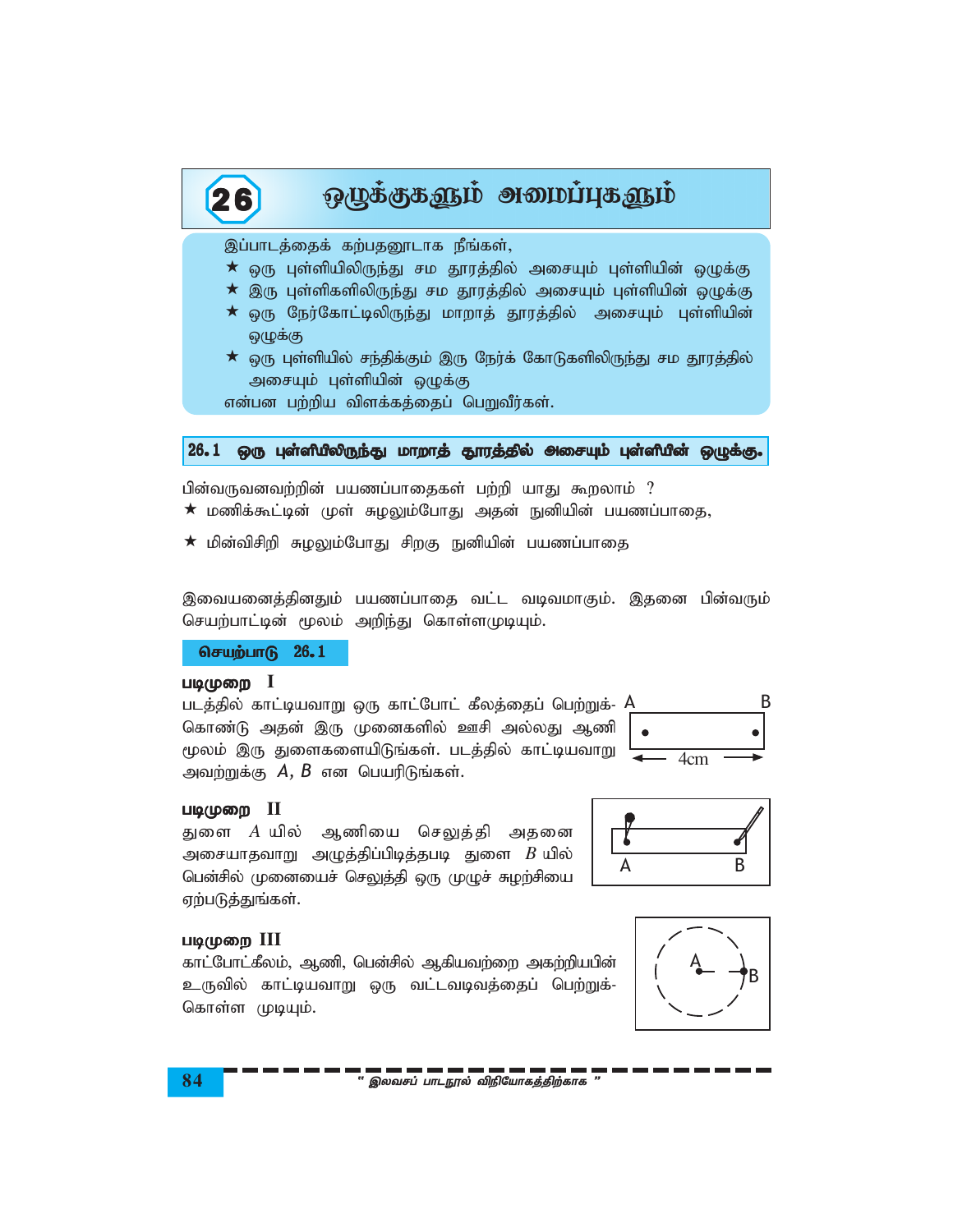## 26 ஒழுக்குகளும் அமைப்புகளும்

இப்பாடத்தைக் கற்பதனூடாக நீங்கள்,

- $\star$  ஒரு புள்ளியிலிருந்து சம தூரத்தில் அசையும் புள்ளியின் ஒழுக்கு
- $\star$  இரு புள்ளிகளிலிருந்து சம தூரத்தில் அசையும் புள்ளியின் ஒழுக்கு
- $\star$  ஒரு நேர்கோட்டிலிருந்து மாறாத் தூரத்தில் அசையும் புள்ளியின் ஜ $\dot{L}$ ழக்கு
- $\star$  ஒரு புள்ளியில் சந்திக்கும் இரு நேர்க் கோடுகளிலிருந்து சம தூரத்தில் அசையும் புள்ளியின் ஒழுக்கு

என்பன பற்றிய விளக்கத்தைப் பெறுவீர்கள்.

## 26.1 ஒரு புள்ளியிலிருந்து மாறாத் தூரத்தில் அசையும் புள்ளியின் ஒழுக்கு.

பின்வருவனவற்றின் பயணப்பாதைகள் பற்றி யாது கூறலாம் ?

- $\bigstar$  மணிக்கூட்டின் முள் சுழலும்போது அதன் நுனியின் பயணப்பாதை,
- $\star$  மின்விசிறி சுழலும்போது சிறகு நுனியின் பயணப்பாதை

இவையனைத்தினதும் பயணப்பாதை வட்ட வடிவமாகும். இதனை பின்வரும் செயற்பாட்டின் மூலம் அறிந்து கொள்ளமுடியும்.

 $6$ சயற்பாடு  $26.1$ 

## படிமுறை **I**

படத்தில் காட்டியவாறு ஒரு காட்போட் கீலத்தைப் பெற்றுக்- A கொண்டு அதன் இரு முனைகளில் ஊசி அல்லது ஆணி மூலம் இரு துளைகளையிடுங்கள். படத்தில் காட்டியவாறு அவற்றுக்கு  $A, B$  என பெயரிடுங்கள்.

## படிமுறை **II**

துளை *A* யில் ஆணியை செலுத்தி அதனை அசையாதவாறு அழுத்திப்பிடித்தபடி துளை  $B$  யில் பென்சில் முனையைச் செலுத்தி ஒரு முழுச் சுழற்சியை ஏற்படுத்துங்கள்.



# A B

### படிமுறை III

காட்போட்கீலம், ஆணி, பென்சில் ஆகியவற்றை அகற்றியபின் உருவில் காட்டியவாறு ஒரு வட்டவடிவத்தைப் பெற்றுக்-கொள்ள முடியும்.



**84** ' ,ytrg; ghlE}y; tpepNahfj;jpw;fhf "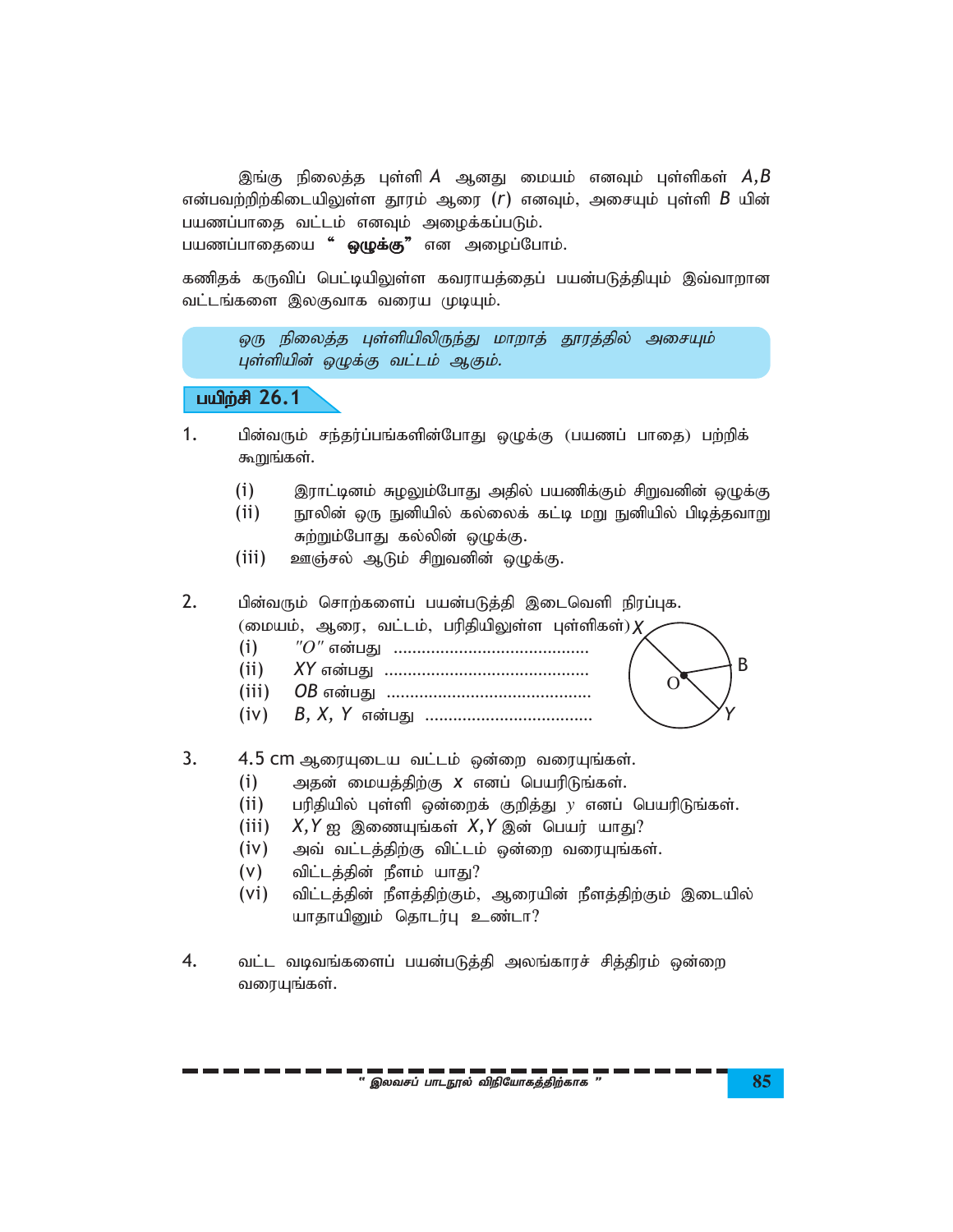இங்கு நிலைத்த புள்ளி *A* ஆனது மையம் எனவும் புள்ளிகள்  $A,B$ என்பவற்றிற்கிடையிலுள்ள தூரம் ஆரை  $(r)$  எனவும், அசையும் புள்ளி  $B$  யின் பயணப்பாதை வட்டம் எனவும் அழைக்கப்படும்.

பயணப்பாதையை " ஒழுக்கு" என அழைப்போம்.

கணிதக் கருவிப் பெட்டியிலுள்ள கவராயத்தைப் பயன்படுத்தியும் இவ்வாறான வட்டங்களை இலகுவாக வரைய முடியும்.

ஒரு நிலைத்த புள்ளியிலிருந்து மாறாத் தூரத்தில் அசையும் புள்ளியின் ஒழுக்கு வட்டம் ஆகும்.

## gapw;rp **26.1**

- 1. பின்வரும் சந்தர்ப்பங்களின்போது ஒழுக்கு (பயணப் பாதை) பற்றிக் கூறுங்கள்.
	- $(i)$  துராட்டினம் சுழலும்போது அதில் பயணிக்கும் சிறுவனின் ஒழுக்கு
	- (ii) நூலின் ஒரு நுனியில் கல்லைக் கட்டி மறு நுனியில் பிடித்தவாறு சுற்றும்போது கல்லின் ஒழுக்கு.
	- $(iii)$  உளஞ்சல் ஆடும் சிறுவனின் ஒழுக்கு.

2. பின்வரும் சொற்களைப் பயன்படுத்தி இடைவெளி நிரப்புக. (மையம், ஆரை, வட்டம், பரிதியிலுள்ள புள்ளிகள்) $\pmb{\chi}$ 

- (i) *"O"* vd;gJ ..........................................
- (ii) *XY* vd;gJ ............................................
- (iii) *OB* vd;gJ ............................................
- (iv) *B, X, Y* vd;gJ ....................................
- 3.  $4.5$  cm ஆரையுடைய வட்டம் ஒன்றை வரையுங்கள்.
	- (i) அதன் மையத்திற்கு *x* எனப் பெயரிடுங்கள்.
	- (ii) பரிதியில் புள்ளி ஒன்றைக் குறித்து y எனப் பெயரிடுங்கள்.
	- $(iii)$  X, Y ஐ இணையுங்கள் X, Y இன் பெயர் யாது?
	- $(iv)$  அவ் வட்டத்திற்கு விட்டம் ஒன்றை வரையுங்கள்.
	- $(V)$  விட்டத்தின் நீளம் யாது?
	- (vi) விட்டத்தின் நீளத்திற்கும், ஆரையின் நீளத்திற்கும் இடையில் யாதாயினும் தொடர்பு உண்டா?
- 4. வட்ட வடிவங்களைப் பயன்படுத்தி அலங்காரச் சித்திரம் ஒன்றை வரையுங்கள்.

*Y*

O

B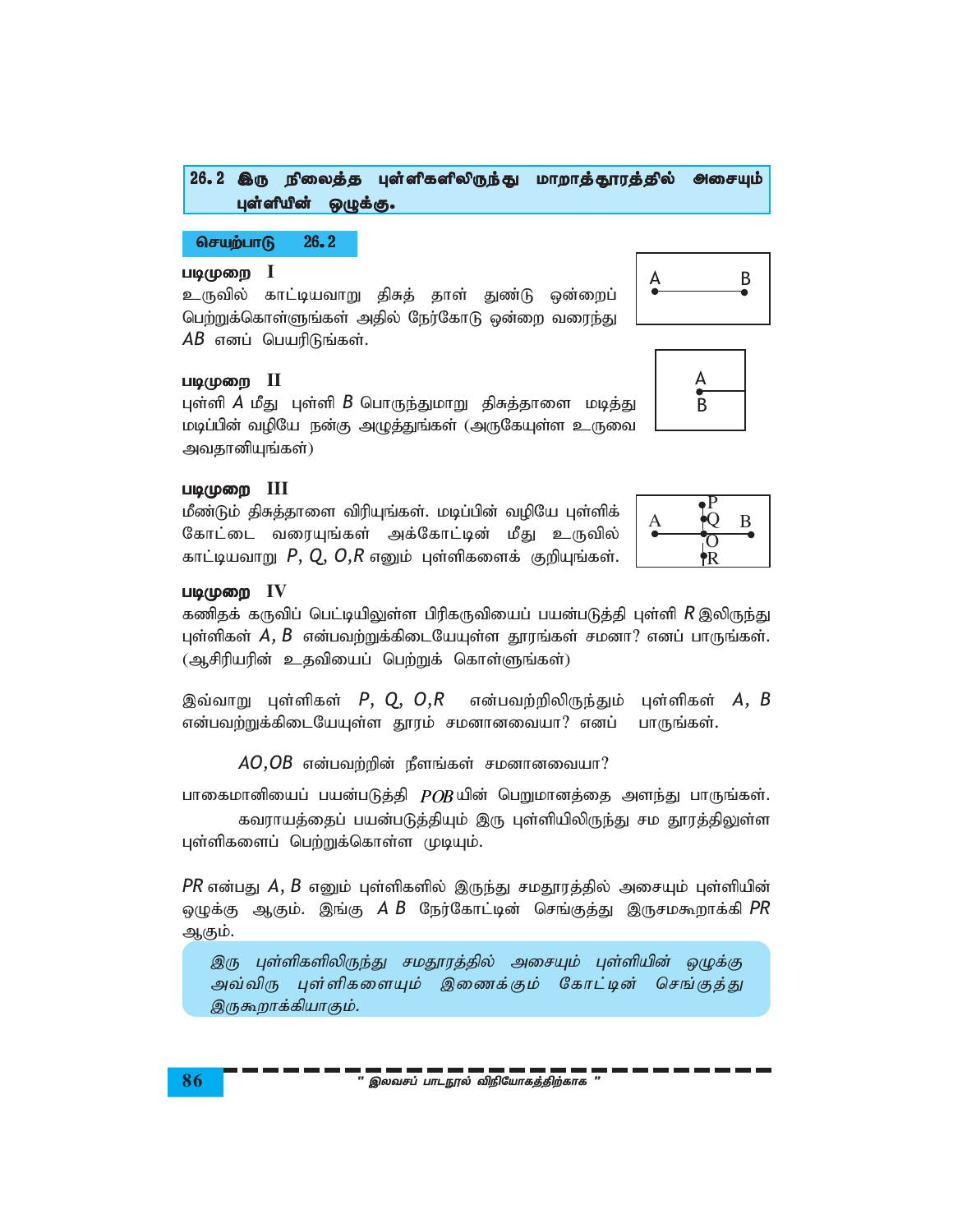## 26.2 இரு நிலைத்த புள்ளிகளிலிருந்து மாறாத்தூரத்தில் அசையும் புள்ளியின் ஒழுக்கு.

## $\overline{\text{O}}$ செயற்பாடு 26.2

## படிமுறை **I**

உருவில் காட்டியவாறு திசுத் தாள் துண்டு ஒன்றைப் பெற்றுக்கொள்ளுங்கள் அதில் நேர்கோடு ஒன்றை வரைந்து  $AB$  எனப் பெயரிடுங்கள்.



புள்ளி *A* மீது புள்ளி *B* பொருந்துமாறு திசுத்தாளை மடித்து மடிப்பின் வழியே நன்கு அழுத்துங்கள் (அருகேயுள்ள உருவை அவதானியுங்கள்)

## gbKiw **III**

மீண்டும் திசுத்தாளை விரியுங்கள். மடிப்பின் வழியே புள்ளிக் கோட்டை வரையுங்கள் அக்கோட்டின் மீது உருவில் காட்டியவாறு  $P$ ,  $Q$ ,  $O$ , $R$  எனும் புள்ளிகளைக் குறியுங்கள்.



A B

A B

## $U\omega(\mu\omega)$  IV

கணிதக் கருவிப் பெட்டியிலுள்ள பிரிகருவியைப் பயன்படுத்தி புள்ளி *R* இலிருந்து புள்ளிகள்  $A, B$  என்பவற்றுக்கிடையேயுள்ள தூரங்கள் சமனா? எனப் பாருங்கள்.  $(\triangleleft \mathcal{A})$ ரியரின் உதவியைப் பெற்றுக் கொள்ளுங்கள்)

இவ்வாறு புள்ளிகள்  $P$ ,  $Q$ ,  $O$ , $R$  என்பவற்றிலிருந்தும் புள்ளிகள்  $A$ ,  $B$ என்பவற்றுக்கிடையேயுள்ள தூரம் சமனானவையா? எனப் பாருங்கள்.

 $AO,OB$  என்பவற்றின் நீளங்கள் சமனானவையா?

பாகைமானியைப் பயன்படுத்தி  $POB$ யின் பெறுமானத்தை அளந்து பாருங்கள்.

கவராயத்தைப் பயன்படுத்தியும் இரு புள்ளியிலிருந்து சம தூரத்திலுள்ள புள்ளிகளைப் பெற்றுக்கொள்ள முடியும்.

 $PR$  என்பது  $A, B$  எனும் புள்ளிகளில் இருந்து சமதூரத்தில் அசையும் புள்ளியின் ஒழுக்கு ஆகும். இங்கு *A B* நேர்கோட்டின் செங்குத்து இருசமகூறாக்கி $PR$ ஆகும்.

இரு புள்ளிகளிலிருந்து சமதூரத்தில் அசையும் புள்ளியின் ஒழுக்கு அவ்விரு புள்ளிகளையும் இணைக்கும் கோட்டின் செங்குத்து இருகூறாக்கியாகும்.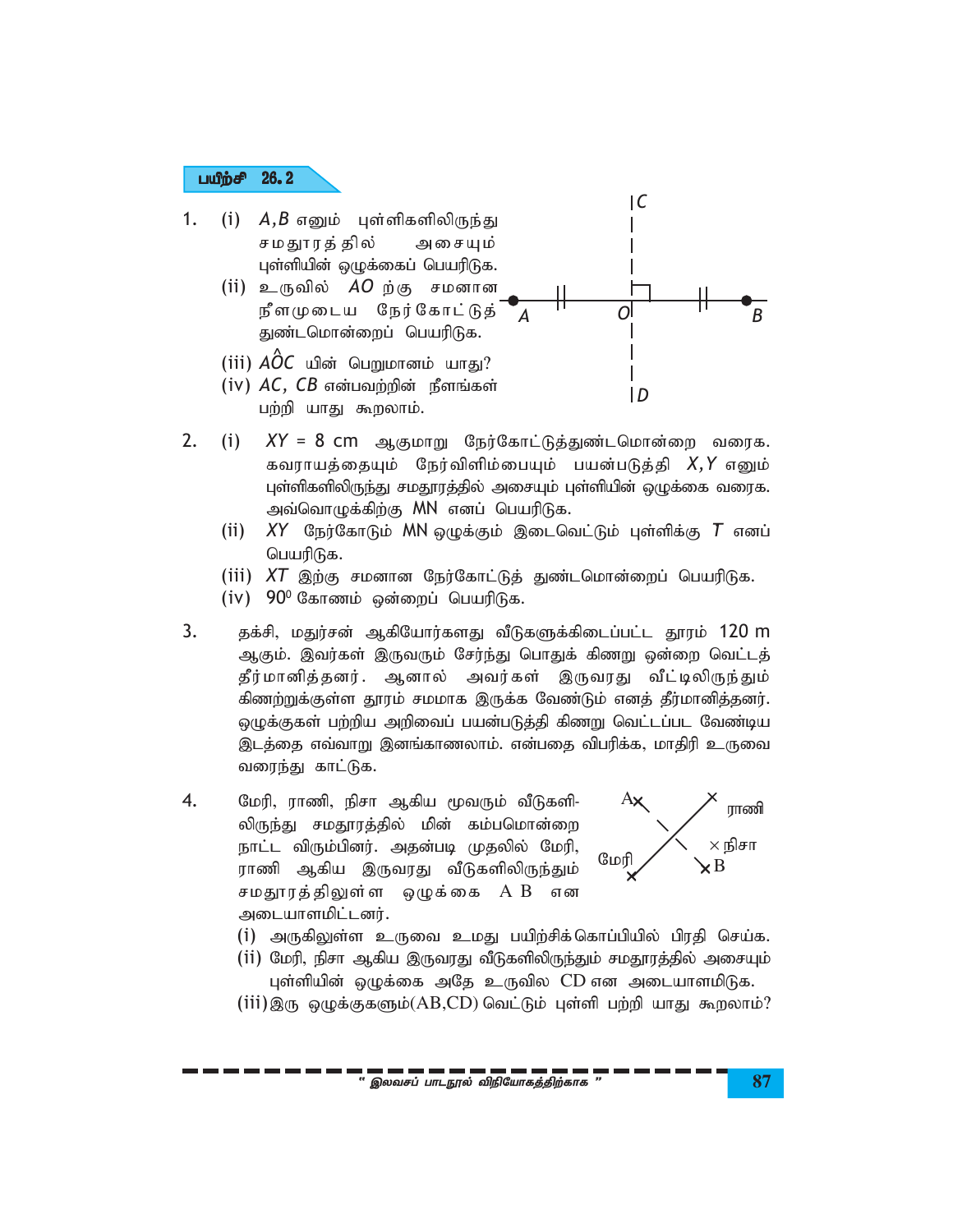#### பயீற்சி 26.2

- 1. (i)  $A,B$  எனும் புள்ளிகளிலிருந்து சமதுாரத் தில் அசையும் புள்ளியின் ஒழுக்கைப் பெயரிடுக.
	- (ii) உருவில்  $AO$ ற்கு சமனான நீளமுடைய நேர்கோட்டுத் துண்டமொன்றைப் பெயரிடுக.
	- (iii)  $\angle AOC$  யின் பெறுமானம் யாது?
	- $(iv)$   $AC$ ,  $CB$  என்பவற்றின் நீளங்கள் பற்றி யாது கூறலாம்.
- $\overline{O}$  $\overline{B}$ ID  $XY = 8$  cm ஆகுமாறு நேர்கோட்டுத்துண்டமொன்றை வரைக.

 $|C$ 

- $2.$  $(i)$ கவராயத்தையும் நேர்விளிம்பையும் பயன்படுத்தி X,Y எனும் புள்ளிகளிலிருந்து சமதூரத்தில் அசையும் புள்ளியின் ஒழுக்கை வரைக. அவ்வொழுக்கிற்கு MN எனப் பெயரிடுக.
	- (ii) XY நேர்கோடும் MN ஒழுக்கும் இடைவெட்டும் புள்ளிக்கு  $T$  எனப் பெயரிடுக.
	- (iii)  $XT$  இற்கு சமனான நேர்கோட்டுத் துண்டமொன்றைப் பெயரிடுக.
	- (iv)  $90^{\circ}$  கோணம் ஒன்றைப் பெயரிடுக.
- $\overline{3}$ . தக்சி, மதுர்சன் ஆகியோர்களது வீடுகளுக்கிடைப்பட்ட தூரம் 120 m ஆகும். இவர்கள் இருவரும் சேர்ந்து பொதுக் கிணறு ஒன்றை வெட்டத் தீர்மானித்தனர். ஆனால் அவர்கள் இருவரது வீட்டிலிருந்தும் கிணற்றுக்குள்ள தூரம் சமமாக இருக்க வேண்டும் எனத் தீர்மானித்தனர். ஒழுக்குகள் பற்றிய அறிவைப் பயன்படுத்தி கிணறு வெட்டப்பட வேண்டிய இடத்தை எவ்வாறு இனங்காணலாம். என்பதை விபரிக்க, மாதிரி உருவை வரைந்து காட்டுக.
- 4. மேரி, ராணி, நிசா ஆகிய மூவரும் வீடுகளி-லிருந்து சமதூரத்தில் மின் கம்பமொன்றை நாட்ட விரும்பினர். அதன்படி முதலில் மேரி, ராணி ஆகிய இருவரது வீடுகளிலிருந்தும் சமதூரத்திலுள்ள ஒழுக்கை AB என அடையாளமிட்டனர்.



- (i) அருகிலுள்ள உருவை உமது பயிற்சிக்கொப்பியில் பிரதி செய்க.
- (ii) மேரி, நிசா ஆகிய இருவரது வீடுகளிலிருந்தும் சமதூரத்தில் அசையும் புள்ளியின் ஒழுக்கை அதே உருவில CD என அடையாளமிடுக.
- $(iii)$ இரு ஒழுக்குகளும் $(AB,CD)$  வெட்டும் புள்ளி பற்றி யாது கூறலாம்?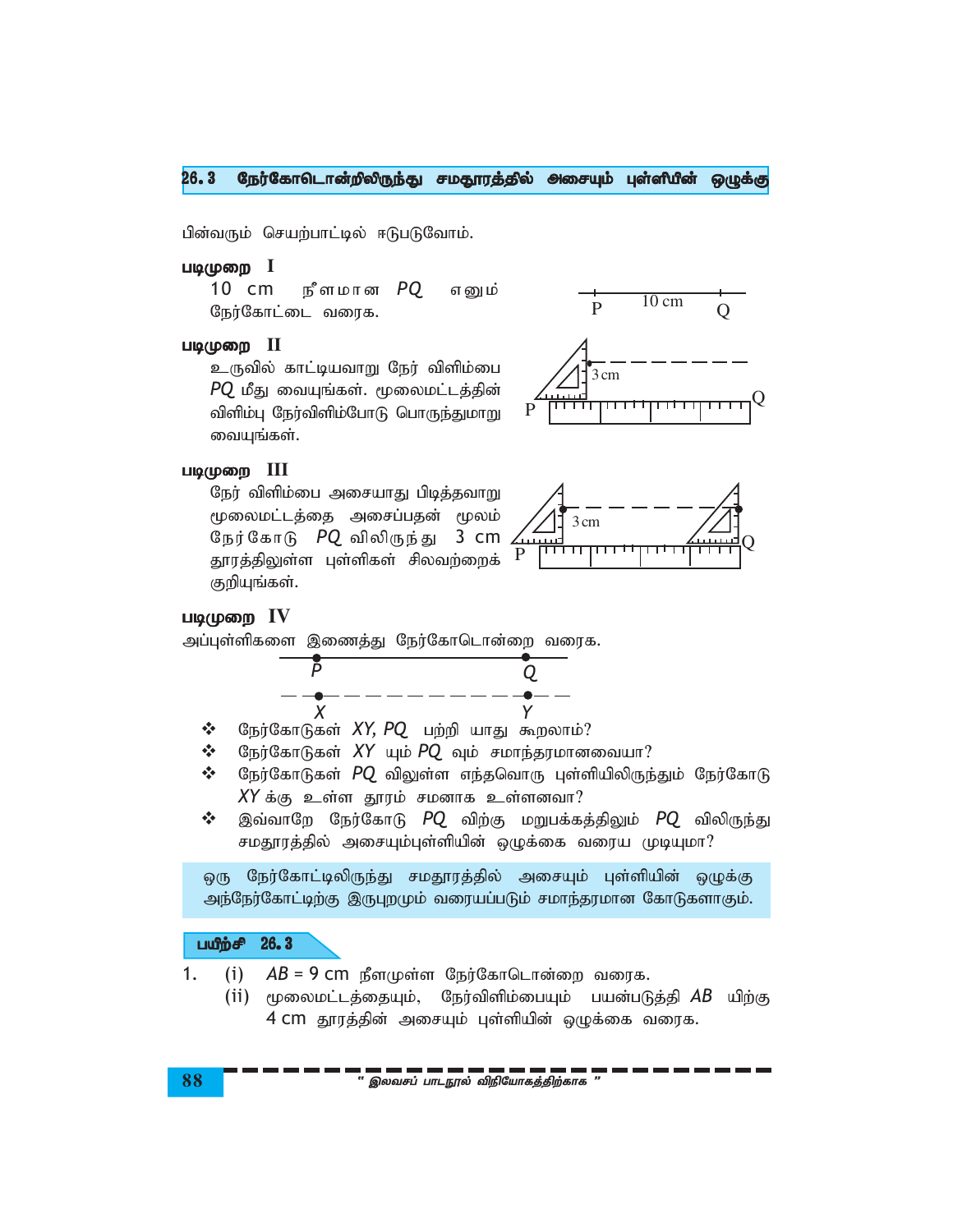#### $26.3$ நேர்கோடொன்றிலிருந்து சமதூரத்தில் அசையும் புள்ளியின் ஒழுக்கு

பின்வரும் செயற்பாட்டில் ஈடுபடுவோம்.

## படிமுறை I

நீளமான *PQ*  $10 \text{ cm}$ எனும் நேர்கோட்டை வரைக.

## படிமுறை II

உருவில் காட்டியவாறு நேர் விளிம்பை  $PQ$  மீது வையுங்கள். மூலைமட்டத்தின் விளிம்பு நேர்விளிம்போடு பொருந்துமாறு வையுங்கள்.



## படிமுறை III

நேர் விளிம்பை அசையாது பிடித்தவாறு மூலைமட்டத்தை அசைப்பதன் மூலம் நேர்கோடு PQ விலிருந்து 3 cm தூரத்திலுள்ள புள்ளிகள் சிலவற்றைக் குறியுங்கள்.



## படிமுறை IV



- $\frac{1}{2}$ நேர்கோடுகள் XY, PQ பற்றி யாது கூறலாம்?
- ❖ நேர்கோடுகள் XY யும்  $PQ$  வும் சமாந்தரமானவையா?
- நேர்கோடுகள் PQ விலுள்ள எந்தவொரு புள்ளியிலிருந்தும் நேர்கோடு  $\frac{1}{2}$  $XY$ க்கு உள்ள தூரம் சமனாக உள்ளனவா?
- $\frac{1}{2}$ இவ்வாறே நேர்கோடு PQ விற்கு மறுபக்கத்திலும் PQ விலிருந்து சமதூரத்தில் அசையும்புள்ளியின் ஒழுக்கை வரைய முடியுமா?

நேர்கோட்டிலிருந்து சமதூரத்தில் அசையும் புள்ளியின் ஒழுக்கு ஒரு அந்நேர்கோட்டிற்கு இருபுறமும் வரையப்படும் சமாந்தரமான கோடுகளாகும்.

#### பயீற்சி  $26.3$

 $1.$  $(i)$  $AB = 9$  CM நீளமுள்ள நேர்கோடொன்றை வரைக.

(ii) மூலைமட்டத்தையும், நேர்விளிம்பையும் பயன்படுத்தி $\overline{AB}$  யிற்கு 4 CM தூரத்தின் அசையும் புள்ளியின் ஒழுக்கை வரைக.

் இலவசப் பாடநூல் விநியோகத்திற்காக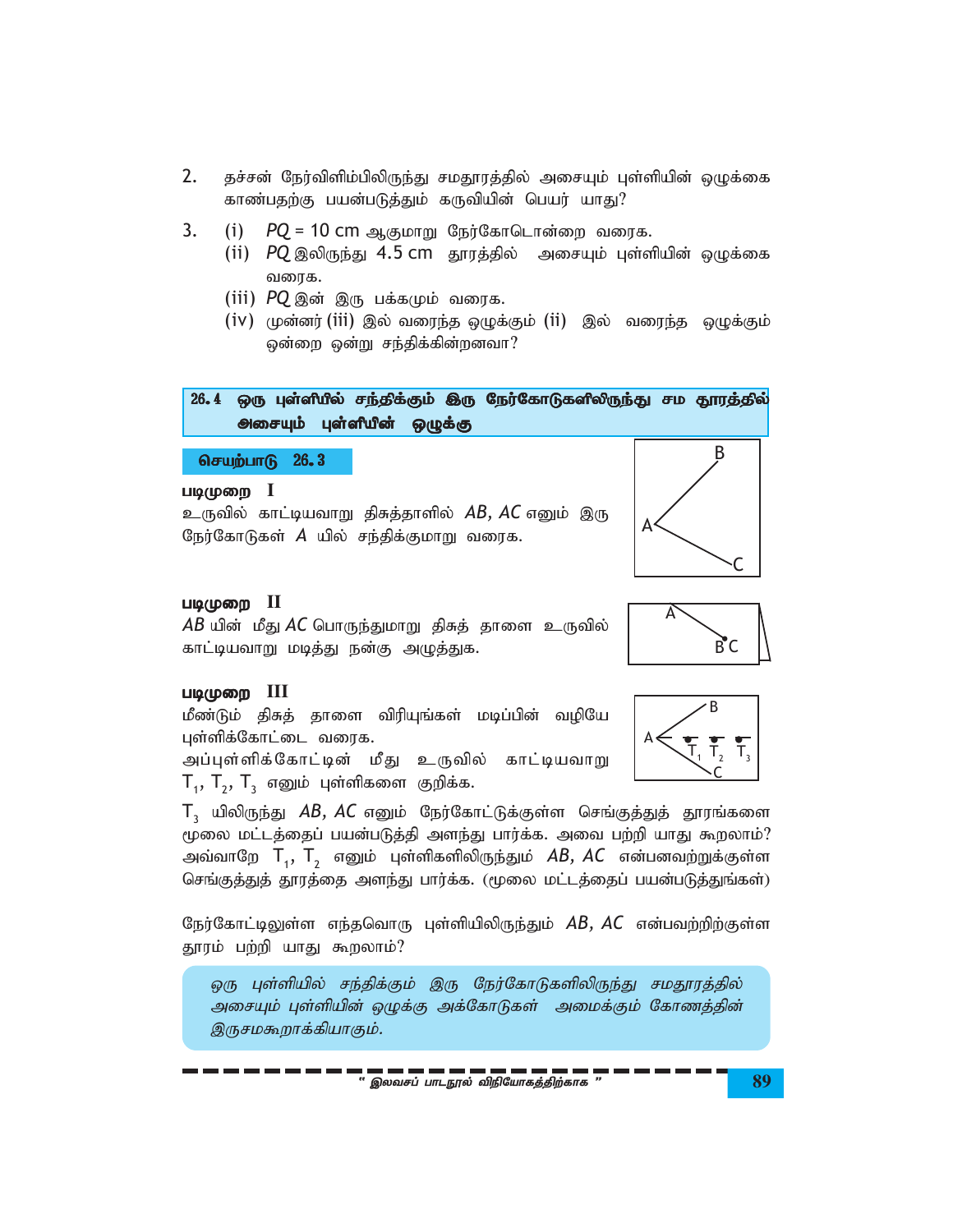- 2. தச்சன் நேர்விளிம்பிலிருந்து சமதூரத்தில் அசையும் புள்ளியின் ஒழுக்கை காண்பதற்கு பயன்படுத்தும் கருவியின் பெயர் யாது?
- 3. (i) *PQ* = 10 cm ஆகுமாறு நேர்கோடொன்றை வரைக.
	- (ii) *PQ* இலிருந்து 4.5 cm தூரத்தில் அசையும் புள்ளியின் ஒழுக்கை வரைக.
	- (iii) PQ இன் இரு பக்கமும் வரைக.
	- $(iv)$  முன்னர் (iii) இல் வரைந்த ஒழுக்கும் (ii) இல் வரைந்த ஒழுக்கும் ஒன்றை ஒன்று சந்திக்கின்றனவா?

26.4 ஒரு புள்ளியில் சந்திக்கும் இரு நேர்கோடுகளிலிருந்து சம தூரத்தில் **அசையும் புள்ளியின் ஒழுக்கு** செயற்பாடு 26.3 படிமுறை **I** உருவில் காட்டியவாறு திசுத்தாளில் *AB, AC* எனும் இரு B

நேர்கோடுகள் *A* யில் சந்திக்குமாறு வரைக.



## படிமுறை **II**

*AB* யின் மீது *AC* பொருந்துமாறு திசுத் தாளை உருவில் காட்டியவாறு மடித்து நன்கு அழுத்துக.



## gbKiw **III**

மீண்டும் திசுத் தாளை விரியுங்கள் மடிப்பின் வழியே புள்ளிக்கோட்டை வரைக. அப்புள்ளிக்கோட்டின் மீது உருவில் காட்டியவாறு  ${\sf T}_{_{1}},\,{\sf T}_{_{2}},\,{\sf T}_{_{3}}$  எனும் புள்ளிகளை குறிக்க.

 ${\sf T}_\mathfrak{z}\;$  யிலிருந்து  $\it AB,\,AC$  எனும் நேர்கோட்டுக்குள்ள செங்குத்துத் தூரங்களை மூலை மட்டத்தைப் பயன்படுத்தி அளந்து பார்க்க. அவை பற்றி யாது கூறலாம்? அவ்வாறே  $\textsf{T}_{_{1}},\textsf{T}_{_{2}}$  எனும் புள்ளிகளிலிருந்தும்  $\textit{AB}, \textit{AC}$  என்பனவற்றுக்குள்ள செங்குத்துத் தூரத்தை அளந்து பார்க்க. (மூலை மட்டத்தைப் பயன்படுத்துங்கள்)

நேர்கோட்டிலுள்ள எந்தவொரு புள்ளியிலிருந்தும் *AB, AC* என்பவற்றிற்குள்ள தூரம் பற்றி யாது கூறலாம்?

ஒரு புள்ளியில் சந்திக்கும் இரு நேர்கோடுகளிலிருந்து சமதூரத்தில் அசையும் புள்ளியின் ஒழுக்கு அக்கோடுகள் அமைக்கும் கோணத்தின் இருசமகூறாக்கியாகும்.





B